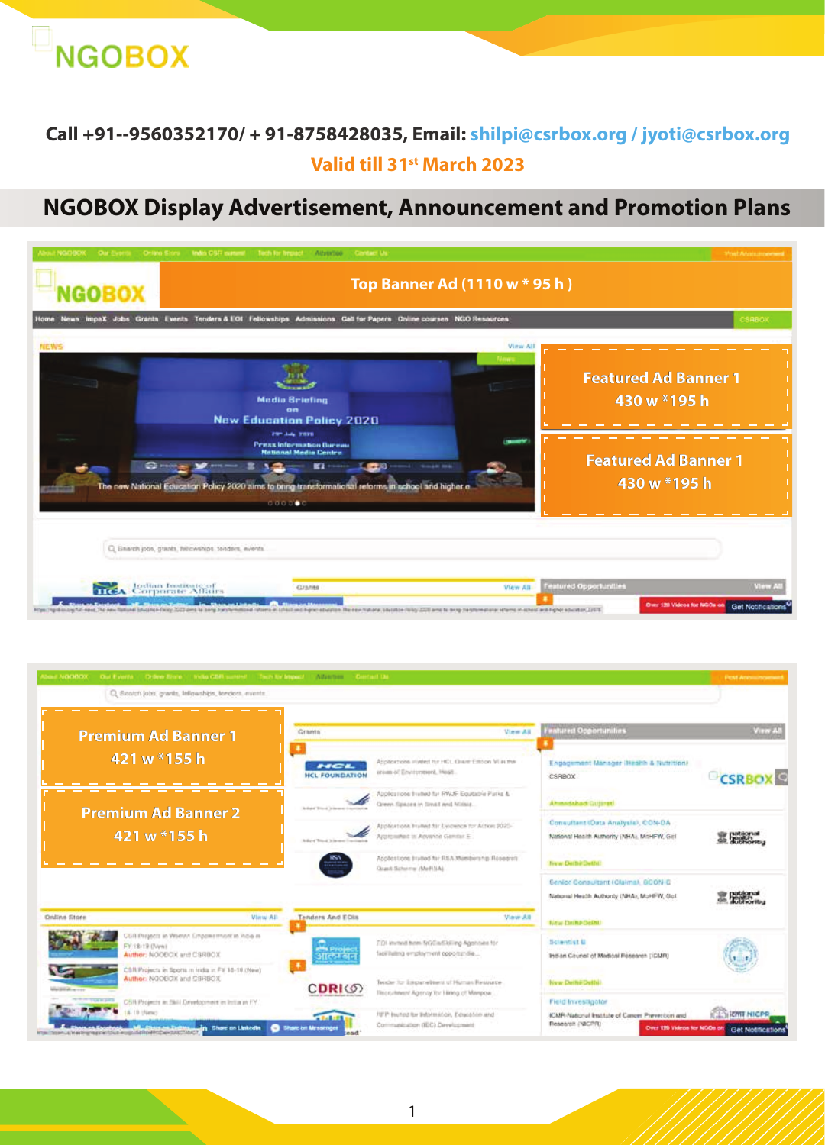

## **Call +91--9560352170/ + 91-8758428035, Email: shilpi@csrbox.org / jyoti@csrbox.org Valid till 31st March 2023**

# **NGOBOX Display Advertisement, Announcement and Promotion Plans**

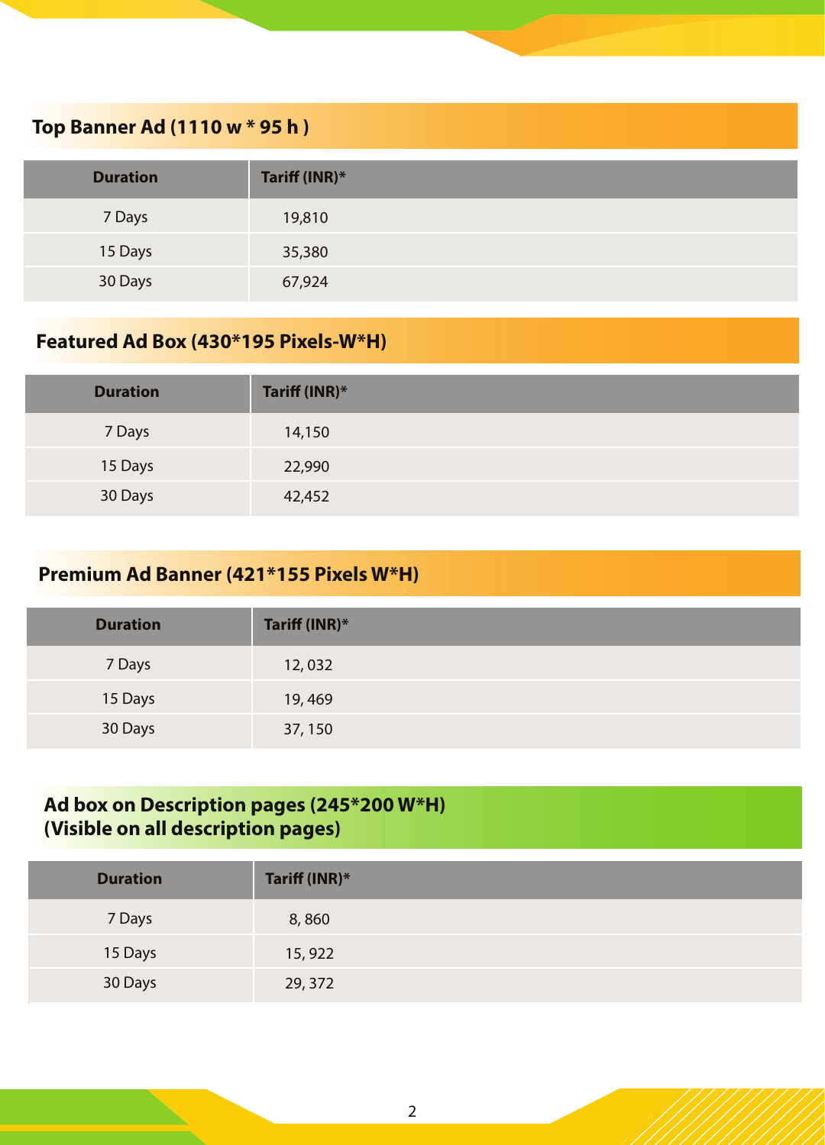### **Top Banner Ad (1110 w \* 95 h )**

| <b>Duration</b> | Tariff (INR)* |
|-----------------|---------------|
| 7 Days          | 19,810        |
| 15 Days         | 35,380        |
| 30 Days         | 67,924        |

## **Featured Ad Box (430\*195 Pixels-W\*H)**

| <b>Duration</b> | Tariff (INR)* |
|-----------------|---------------|
| 7 Days          | 14,150        |
| 15 Days         | 22,990        |
| 30 Days         | 42,452        |

### **Premium Ad Banner (421\*155 Pixels W\*H)**

| <b>Duration</b> | Tariff (INR)* |
|-----------------|---------------|
| 7 Days          | 12,032        |
| 15 Days         | 19,469        |
| 30 Days         | 37, 150       |

### **Ad box on Description pages (245\*200 W\*H) (Visible on all description pages)**

| <b>Duration</b> | Tariff (INR)* |
|-----------------|---------------|
| 7 Days          | 8,860         |
| 15 Days         | 15,922        |
| 30 Days         | 29, 372       |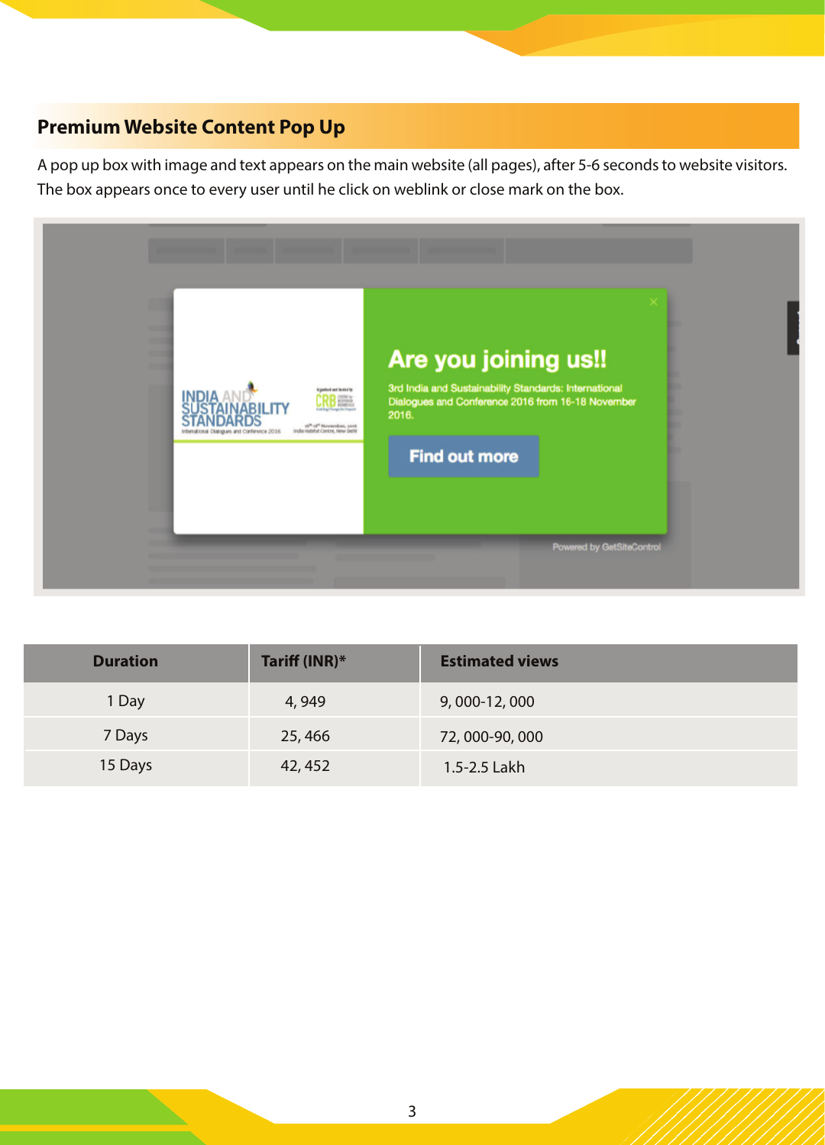## **Premium Website Content Pop Up**

A pop up box with image and text appears on the main website (all pages), after 5-6 seconds to website visitors. The box appears once to every user until he click on weblink or close mark on the box.



| <b>Duration</b> | Tariff (INR)* | <b>Estimated views</b> |
|-----------------|---------------|------------------------|
| 1 Day           | 4,949         | 9,000-12,000           |
| 7 Days          | 25,466        | 72,000-90,000          |
| 15 Days         | 42, 452       | 1.5-2.5 Lakh           |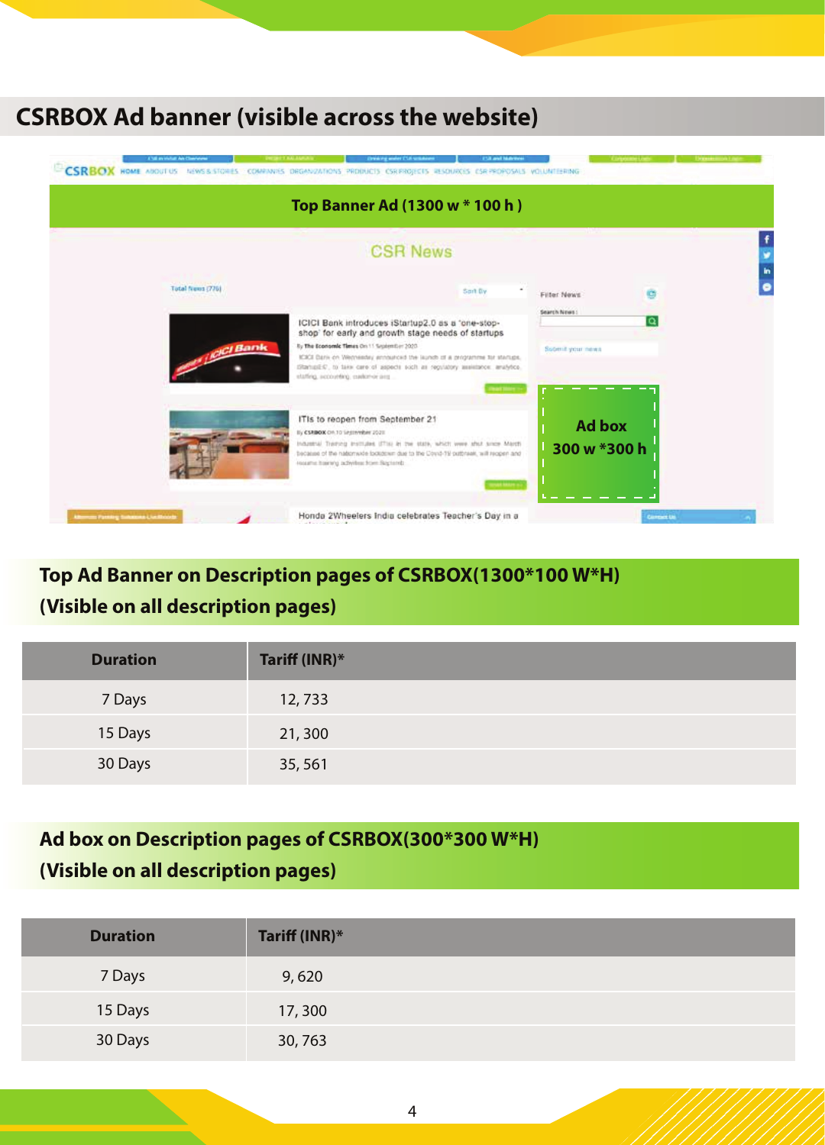# **CSRBOX Ad banner (visible across the website)**



# **Top Ad Banner on Description pages of CSRBOX(1300\*100 W\*H) (Visible on all description pages)**

| <b>Duration</b> | Tariff (INR)* |
|-----------------|---------------|
| 7 Days          | 12,733        |
| 15 Days         | 21,300        |
| 30 Days         | 35,561        |

# **Ad box on Description pages of CSRBOX(300\*300 W\*H) (Visible on all description pages)**

| <b>Duration</b> | Tariff (INR)* |
|-----------------|---------------|
| 7 Days          | 9,620         |
| 15 Days         | 17,300        |
| 30 Days         | 30,763        |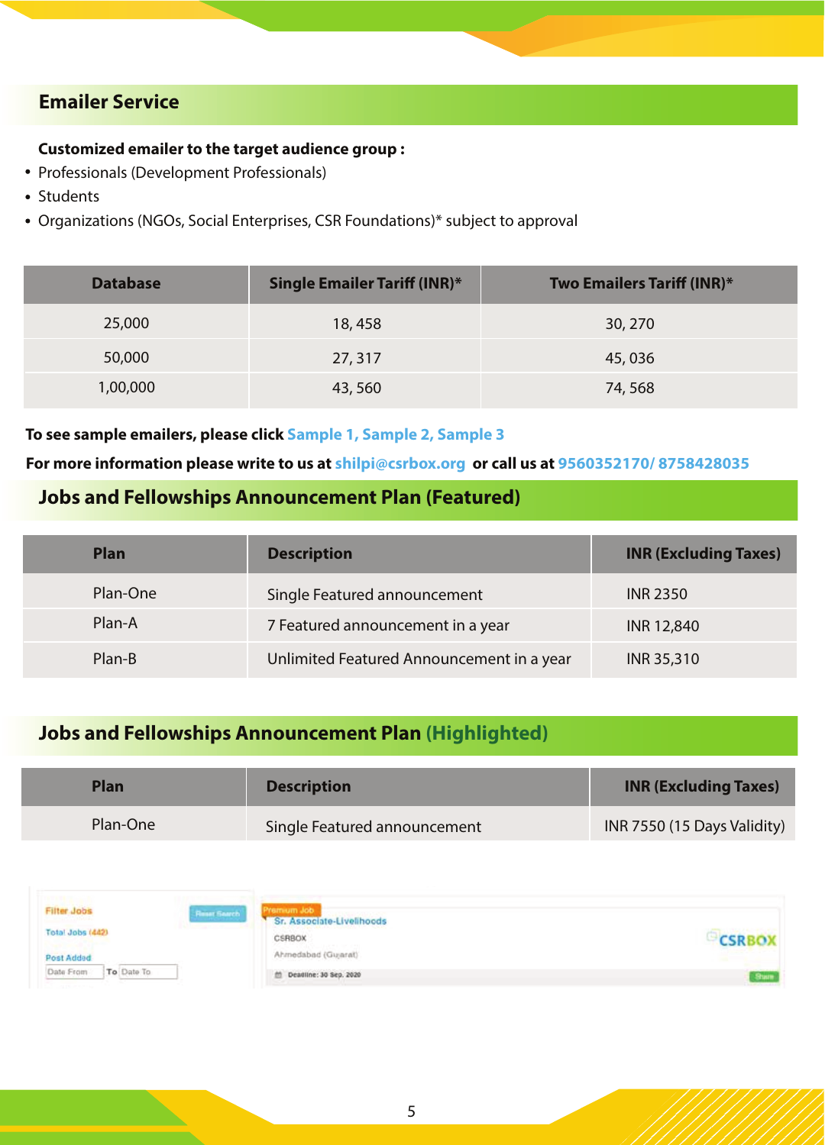### **Emailer Service**

### **Customized emailer to the target audience group :**

- Professionals (Development Professionals)
- Students
- Organizations (NGOs, Social Enterprises, CSR Foundations)\* subject to approval

| <b>Database</b> | <b>Single Emailer Tariff (INR)*</b> | Two Emailers Tariff (INR)* |
|-----------------|-------------------------------------|----------------------------|
| 25,000          | 18,458                              | 30, 270                    |
| 50,000          | 27, 317                             | 45,036                     |
| 1,00,000        | 43,560                              | 74,568                     |

#### To see sample emailers, please click <mark>Sam</mark>ple 1, Sample 2, Sample 3

#### For more information please write to us at shilpi@csrbox.org or call us at 9560352170/8758428035

### **Jobs and Fellowships Announcement Plan (Featured)**

| <b>Plan</b> | <b>Description</b>                        | <b>INR (Excluding Taxes)</b> |
|-------------|-------------------------------------------|------------------------------|
| Plan-One    | Single Featured announcement              | <b>INR 2350</b>              |
| Plan-A      | 7 Featured announcement in a year         | <b>INR 12,840</b>            |
| Plan-B      | Unlimited Featured Announcement in a year | INR 35,310                   |

### **Jobs and Fellowships Announcement Plan (Highlighted)**

| Plan     | <b>Description</b>           | <b>INR (Excluding Taxes)</b> |
|----------|------------------------------|------------------------------|
| Plan-One | Single Featured announcement | INR 7550 (15 Days Validity)  |

| Filter Jobs<br><b>WARDTONOW</b> | Memium Job<br><b>Finset Search</b><br>Sr. Associate-Livelihoods<br>International Control of the Control of the Control of the Control of the Control of the Control of the Control of |  |
|---------------------------------|---------------------------------------------------------------------------------------------------------------------------------------------------------------------------------------|--|
| Total Jobs (442)                | <b>CSRBOX</b><br>control to the control of the                                                                                                                                        |  |
| Post Added                      | Ahmedabad (Gujarat)                                                                                                                                                                   |  |
| To Date To<br>Date From         | th Deadline: 30 Sep. 2020                                                                                                                                                             |  |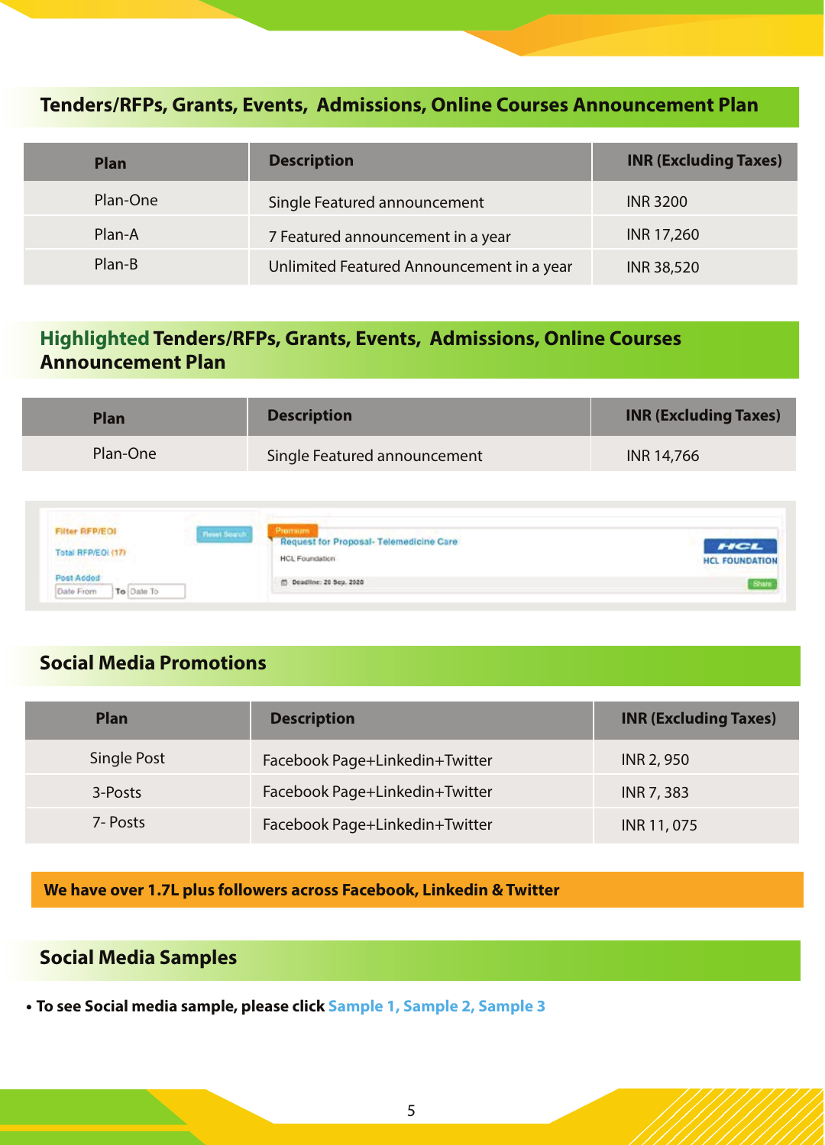### **Tenders/RFPs, Grants, Events, Admissions, Online Courses Announcement Plan**

| <b>Plan</b> | <b>Description</b>                        | <b>INR (Excluding Taxes)</b> |
|-------------|-------------------------------------------|------------------------------|
| Plan-One    | Single Featured announcement              | <b>INR 3200</b>              |
| Plan-A      | 7 Featured announcement in a year         | INR 17,260                   |
| Plan-B      | Unlimited Featured Announcement in a year | <b>INR 38,520</b>            |

### **Highlighted Tenders/RFPs, Grants, Events, Admissions, Online Courses Announcement Plan**

| Plan     | <b>Description</b>           | <b>INR (Excluding Taxes)</b> |
|----------|------------------------------|------------------------------|
| Plan-One | Single Featured announcement | <b>INR 14,766</b>            |
|          |                              |                              |

| <b>CONTRACTOR</b><br>Filter RFP/EOI            | <b>Promum</b><br>Finant Search         |                                                   |
|------------------------------------------------|----------------------------------------|---------------------------------------------------|
| .<br>Total RFP/EOL(17)                         | Request for Proposal-Telemedicine Care | HCL                                               |
| and all of the same of the company of the com- | HCL Foundation                         | <b>HCL FOUNDATION</b><br><b>PERSONAL PROPERTY</b> |
| Post Added                                     | C) Deadline: 20 Sep. 2020              | Share                                             |
| To Date To<br>Date From                        |                                        |                                                   |

### **Social Media Promotions**

| <b>Plan</b> | <b>Description</b>             | <b>INR (Excluding Taxes)</b> |
|-------------|--------------------------------|------------------------------|
| Single Post | Facebook Page+Linkedin+Twitter | INR 2, 950                   |
| 3-Posts     | Facebook Page+Linkedin+Twitter | <b>INR 7, 383</b>            |
| 7- Posts    | Facebook Page+Linkedin+Twitter | INR 11, 075                  |

**We have over 1.7L plus followers across Facebook, Linkedin & Twitter**

### **Social Media Samples**

To see Social media sample, please click Sample 1, Sample 2, Sample 3